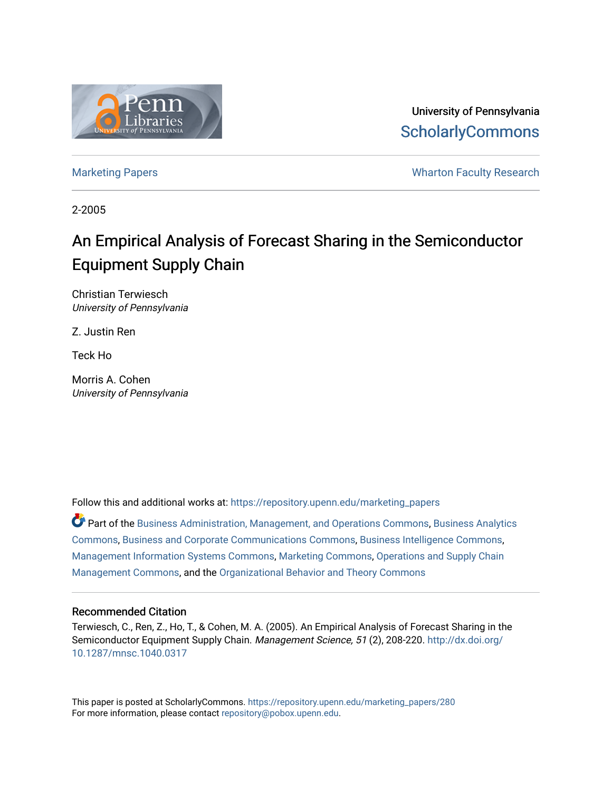

University of Pennsylvania **ScholarlyCommons** 

[Marketing Papers](https://repository.upenn.edu/marketing_papers) **Marketing Papers Marketing Papers Wharton Faculty Research** 

2-2005

## An Empirical Analysis of Forecast Sharing in the Semiconductor Equipment Supply Chain

Christian Terwiesch University of Pennsylvania

Z. Justin Ren

Teck Ho

Morris A. Cohen University of Pennsylvania

Follow this and additional works at: [https://repository.upenn.edu/marketing\\_papers](https://repository.upenn.edu/marketing_papers?utm_source=repository.upenn.edu%2Fmarketing_papers%2F280&utm_medium=PDF&utm_campaign=PDFCoverPages)

Part of the [Business Administration, Management, and Operations Commons](http://network.bepress.com/hgg/discipline/623?utm_source=repository.upenn.edu%2Fmarketing_papers%2F280&utm_medium=PDF&utm_campaign=PDFCoverPages), [Business Analytics](http://network.bepress.com/hgg/discipline/1398?utm_source=repository.upenn.edu%2Fmarketing_papers%2F280&utm_medium=PDF&utm_campaign=PDFCoverPages) [Commons](http://network.bepress.com/hgg/discipline/1398?utm_source=repository.upenn.edu%2Fmarketing_papers%2F280&utm_medium=PDF&utm_campaign=PDFCoverPages), [Business and Corporate Communications Commons,](http://network.bepress.com/hgg/discipline/627?utm_source=repository.upenn.edu%2Fmarketing_papers%2F280&utm_medium=PDF&utm_campaign=PDFCoverPages) [Business Intelligence Commons,](http://network.bepress.com/hgg/discipline/1326?utm_source=repository.upenn.edu%2Fmarketing_papers%2F280&utm_medium=PDF&utm_campaign=PDFCoverPages) [Management Information Systems Commons,](http://network.bepress.com/hgg/discipline/636?utm_source=repository.upenn.edu%2Fmarketing_papers%2F280&utm_medium=PDF&utm_campaign=PDFCoverPages) [Marketing Commons](http://network.bepress.com/hgg/discipline/638?utm_source=repository.upenn.edu%2Fmarketing_papers%2F280&utm_medium=PDF&utm_campaign=PDFCoverPages), [Operations and Supply Chain](http://network.bepress.com/hgg/discipline/1229?utm_source=repository.upenn.edu%2Fmarketing_papers%2F280&utm_medium=PDF&utm_campaign=PDFCoverPages) [Management Commons](http://network.bepress.com/hgg/discipline/1229?utm_source=repository.upenn.edu%2Fmarketing_papers%2F280&utm_medium=PDF&utm_campaign=PDFCoverPages), and the [Organizational Behavior and Theory Commons](http://network.bepress.com/hgg/discipline/639?utm_source=repository.upenn.edu%2Fmarketing_papers%2F280&utm_medium=PDF&utm_campaign=PDFCoverPages) 

#### Recommended Citation

Terwiesch, C., Ren, Z., Ho, T., & Cohen, M. A. (2005). An Empirical Analysis of Forecast Sharing in the Semiconductor Equipment Supply Chain. Management Science, 51 (2), 208-220. [http://dx.doi.org/](http://dx.doi.org/10.1287/mnsc.1040.0317) [10.1287/mnsc.1040.0317](http://dx.doi.org/10.1287/mnsc.1040.0317)

This paper is posted at ScholarlyCommons. [https://repository.upenn.edu/marketing\\_papers/280](https://repository.upenn.edu/marketing_papers/280)  For more information, please contact [repository@pobox.upenn.edu.](mailto:repository@pobox.upenn.edu)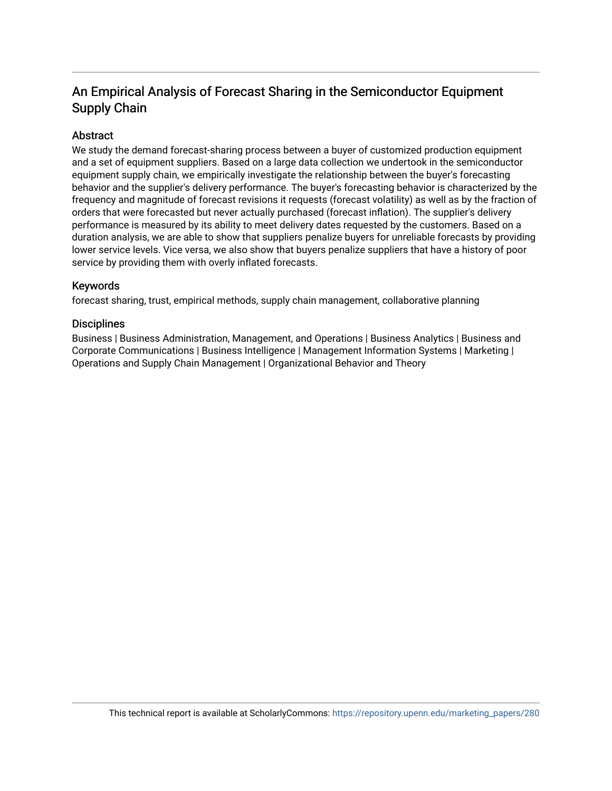## An Empirical Analysis of Forecast Sharing in the Semiconductor Equipment Supply Chain

#### Abstract

We study the demand forecast-sharing process between a buyer of customized production equipment and a set of equipment suppliers. Based on a large data collection we undertook in the semiconductor equipment supply chain, we empirically investigate the relationship between the buyer's forecasting behavior and the supplier's delivery performance. The buyer's forecasting behavior is characterized by the frequency and magnitude of forecast revisions it requests (forecast volatility) as well as by the fraction of orders that were forecasted but never actually purchased (forecast inflation). The supplier's delivery performance is measured by its ability to meet delivery dates requested by the customers. Based on a duration analysis, we are able to show that suppliers penalize buyers for unreliable forecasts by providing lower service levels. Vice versa, we also show that buyers penalize suppliers that have a history of poor service by providing them with overly inflated forecasts.

#### Keywords

forecast sharing, trust, empirical methods, supply chain management, collaborative planning

#### **Disciplines**

Business | Business Administration, Management, and Operations | Business Analytics | Business and Corporate Communications | Business Intelligence | Management Information Systems | Marketing | Operations and Supply Chain Management | Organizational Behavior and Theory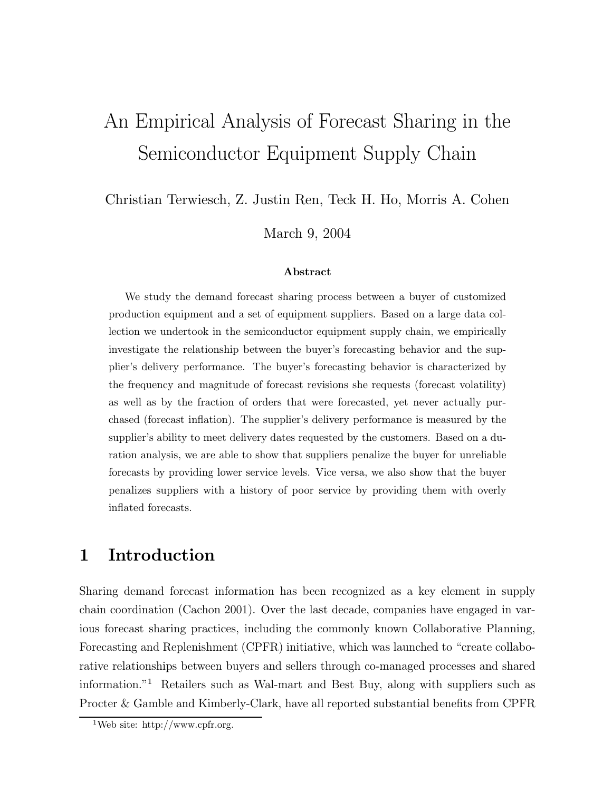# An Empirical Analysis of Forecast Sharing in the Semiconductor Equipment Supply Chain

Christian Terwiesch, Z. Justin Ren, Teck H. Ho, Morris A. Cohen

March 9, 2004

#### Abstract

We study the demand forecast sharing process between a buyer of customized production equipment and a set of equipment suppliers. Based on a large data collection we undertook in the semiconductor equipment supply chain, we empirically investigate the relationship between the buyer's forecasting behavior and the supplier's delivery performance. The buyer's forecasting behavior is characterized by the frequency and magnitude of forecast revisions she requests (forecast volatility) as well as by the fraction of orders that were forecasted, yet never actually purchased (forecast inflation). The supplier's delivery performance is measured by the supplier's ability to meet delivery dates requested by the customers. Based on a duration analysis, we are able to show that suppliers penalize the buyer for unreliable forecasts by providing lower service levels. Vice versa, we also show that the buyer penalizes suppliers with a history of poor service by providing them with overly inflated forecasts.

## 1 Introduction

Sharing demand forecast information has been recognized as a key element in supply chain coordination (Cachon 2001). Over the last decade, companies have engaged in various forecast sharing practices, including the commonly known Collaborative Planning, Forecasting and Replenishment (CPFR) initiative, which was launched to "create collaborative relationships between buyers and sellers through co-managed processes and shared information."<sup>1</sup> Retailers such as Wal-mart and Best Buy, along with suppliers such as Procter & Gamble and Kimberly-Clark, have all reported substantial benefits from CPFR

<sup>&</sup>lt;sup>1</sup>Web site: http://www.cpfr.org.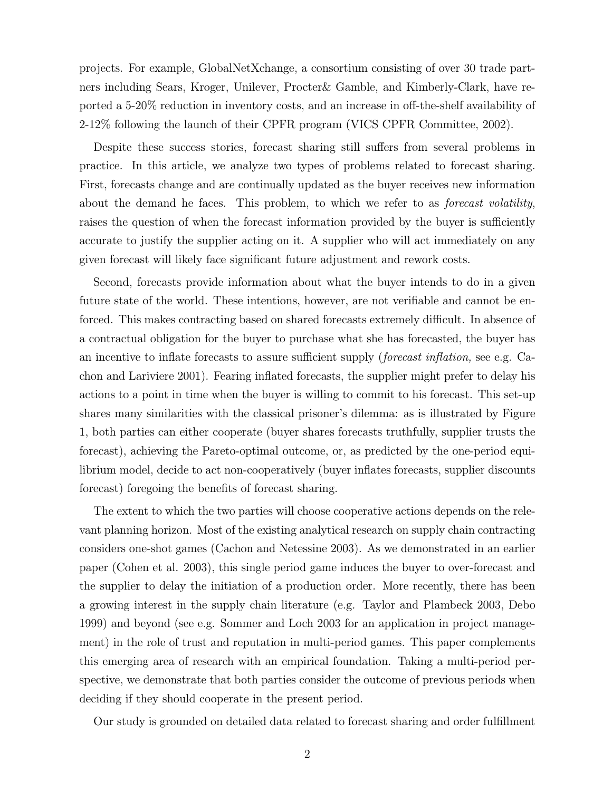projects. For example, GlobalNetXchange, a consortium consisting of over 30 trade partners including Sears, Kroger, Unilever, Procter& Gamble, and Kimberly-Clark, have reported a 5-20% reduction in inventory costs, and an increase in off-the-shelf availability of 2-12% following the launch of their CPFR program (VICS CPFR Committee, 2002).

Despite these success stories, forecast sharing still suffers from several problems in practice. In this article, we analyze two types of problems related to forecast sharing. First, forecasts change and are continually updated as the buyer receives new information about the demand he faces. This problem, to which we refer to as *forecast volatility*, raises the question of when the forecast information provided by the buyer is sufficiently accurate to justify the supplier acting on it. A supplier who will act immediately on any given forecast will likely face significant future adjustment and rework costs.

Second, forecasts provide information about what the buyer intends to do in a given future state of the world. These intentions, however, are not verifiable and cannot be enforced. This makes contracting based on shared forecasts extremely difficult. In absence of a contractual obligation for the buyer to purchase what she has forecasted, the buyer has an incentive to inflate forecasts to assure sufficient supply (forecast inflation, see e.g. Cachon and Lariviere 2001). Fearing inflated forecasts, the supplier might prefer to delay his actions to a point in time when the buyer is willing to commit to his forecast. This set-up shares many similarities with the classical prisoner's dilemma: as is illustrated by Figure 1, both parties can either cooperate (buyer shares forecasts truthfully, supplier trusts the forecast), achieving the Pareto-optimal outcome, or, as predicted by the one-period equilibrium model, decide to act non-cooperatively (buyer inflates forecasts, supplier discounts forecast) foregoing the benefits of forecast sharing.

The extent to which the two parties will choose cooperative actions depends on the relevant planning horizon. Most of the existing analytical research on supply chain contracting considers one-shot games (Cachon and Netessine 2003). As we demonstrated in an earlier paper (Cohen et al. 2003), this single period game induces the buyer to over-forecast and the supplier to delay the initiation of a production order. More recently, there has been a growing interest in the supply chain literature (e.g. Taylor and Plambeck 2003, Debo 1999) and beyond (see e.g. Sommer and Loch 2003 for an application in project management) in the role of trust and reputation in multi-period games. This paper complements this emerging area of research with an empirical foundation. Taking a multi-period perspective, we demonstrate that both parties consider the outcome of previous periods when deciding if they should cooperate in the present period.

Our study is grounded on detailed data related to forecast sharing and order fulfillment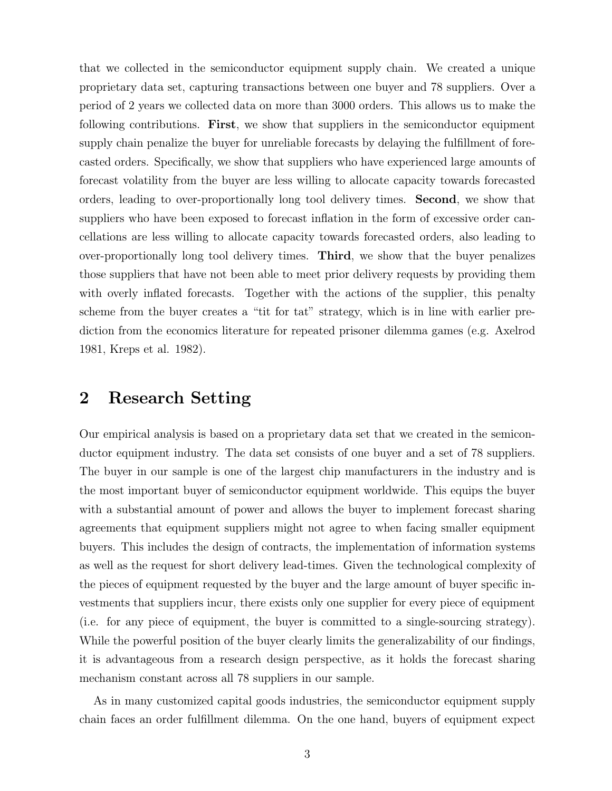that we collected in the semiconductor equipment supply chain. We created a unique proprietary data set, capturing transactions between one buyer and 78 suppliers. Over a period of 2 years we collected data on more than 3000 orders. This allows us to make the following contributions. First, we show that suppliers in the semiconductor equipment supply chain penalize the buyer for unreliable forecasts by delaying the fulfillment of forecasted orders. Specifically, we show that suppliers who have experienced large amounts of forecast volatility from the buyer are less willing to allocate capacity towards forecasted orders, leading to over-proportionally long tool delivery times. Second, we show that suppliers who have been exposed to forecast inflation in the form of excessive order cancellations are less willing to allocate capacity towards forecasted orders, also leading to over-proportionally long tool delivery times. Third, we show that the buyer penalizes those suppliers that have not been able to meet prior delivery requests by providing them with overly inflated forecasts. Together with the actions of the supplier, this penalty scheme from the buyer creates a "tit for tat" strategy, which is in line with earlier prediction from the economics literature for repeated prisoner dilemma games (e.g. Axelrod 1981, Kreps et al. 1982).

## 2 Research Setting

Our empirical analysis is based on a proprietary data set that we created in the semiconductor equipment industry. The data set consists of one buyer and a set of 78 suppliers. The buyer in our sample is one of the largest chip manufacturers in the industry and is the most important buyer of semiconductor equipment worldwide. This equips the buyer with a substantial amount of power and allows the buyer to implement forecast sharing agreements that equipment suppliers might not agree to when facing smaller equipment buyers. This includes the design of contracts, the implementation of information systems as well as the request for short delivery lead-times. Given the technological complexity of the pieces of equipment requested by the buyer and the large amount of buyer specific investments that suppliers incur, there exists only one supplier for every piece of equipment (i.e. for any piece of equipment, the buyer is committed to a single-sourcing strategy). While the powerful position of the buyer clearly limits the generalizability of our findings, it is advantageous from a research design perspective, as it holds the forecast sharing mechanism constant across all 78 suppliers in our sample.

As in many customized capital goods industries, the semiconductor equipment supply chain faces an order fulfillment dilemma. On the one hand, buyers of equipment expect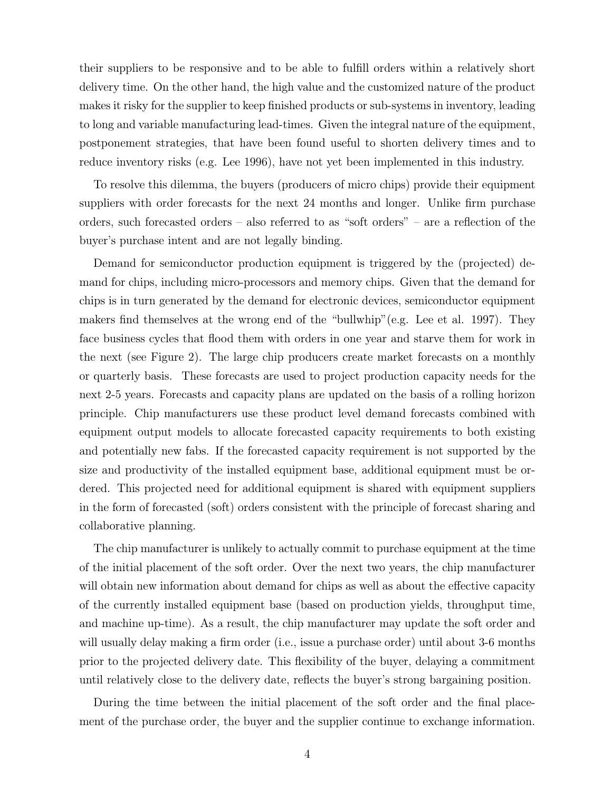their suppliers to be responsive and to be able to fulfill orders within a relatively short delivery time. On the other hand, the high value and the customized nature of the product makes it risky for the supplier to keep finished products or sub-systems in inventory, leading to long and variable manufacturing lead-times. Given the integral nature of the equipment, postponement strategies, that have been found useful to shorten delivery times and to reduce inventory risks (e.g. Lee 1996), have not yet been implemented in this industry.

To resolve this dilemma, the buyers (producers of micro chips) provide their equipment suppliers with order forecasts for the next 24 months and longer. Unlike firm purchase orders, such forecasted orders — also referred to as "soft orders" — are a reflection of the buyer's purchase intent and are not legally binding.

Demand for semiconductor production equipment is triggered by the (projected) demand for chips, including micro-processors and memory chips. Given that the demand for chips is in turn generated by the demand for electronic devices, semiconductor equipment makers find themselves at the wrong end of the "bullwhip"(e.g. Lee et al. 1997). They face business cycles that flood them with orders in one year and starve them for work in the next (see Figure 2). The large chip producers create market forecasts on a monthly or quarterly basis. These forecasts are used to project production capacity needs for the next 2-5 years. Forecasts and capacity plans are updated on the basis of a rolling horizon principle. Chip manufacturers use these product level demand forecasts combined with equipment output models to allocate forecasted capacity requirements to both existing and potentially new fabs. If the forecasted capacity requirement is not supported by the size and productivity of the installed equipment base, additional equipment must be ordered. This projected need for additional equipment is shared with equipment suppliers in the form of forecasted (soft) orders consistent with the principle of forecast sharing and collaborative planning.

The chip manufacturer is unlikely to actually commit to purchase equipment at the time of the initial placement of the soft order. Over the next two years, the chip manufacturer will obtain new information about demand for chips as well as about the effective capacity of the currently installed equipment base (based on production yields, throughput time, and machine up-time). As a result, the chip manufacturer may update the soft order and will usually delay making a firm order (i.e., issue a purchase order) until about 3-6 months prior to the projected delivery date. This flexibility of the buyer, delaying a commitment until relatively close to the delivery date, reflects the buyer's strong bargaining position.

During the time between the initial placement of the soft order and the final placement of the purchase order, the buyer and the supplier continue to exchange information.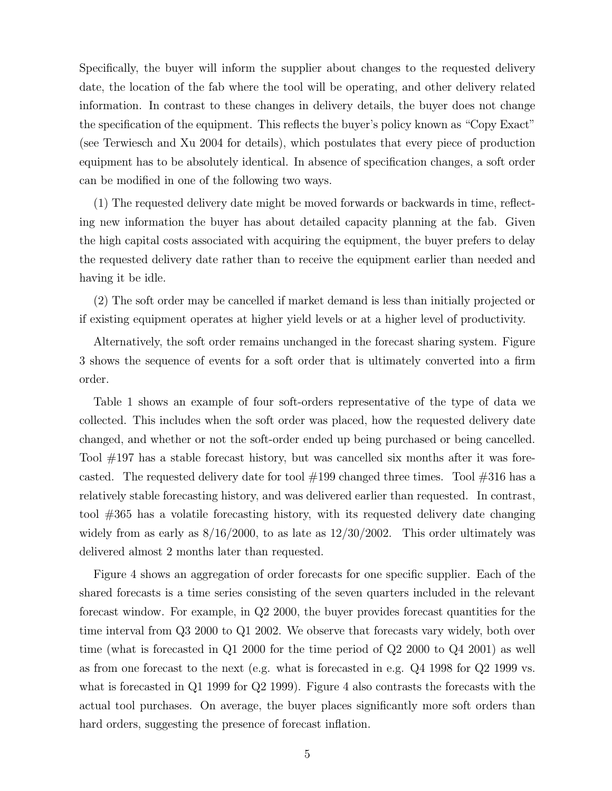Specifically, the buyer will inform the supplier about changes to the requested delivery date, the location of the fab where the tool will be operating, and other delivery related information. In contrast to these changes in delivery details, the buyer does not change the specification of the equipment. This reflects the buyer's policy known as "Copy Exact" (see Terwiesch and Xu 2004 for details), which postulates that every piece of production equipment has to be absolutely identical. In absence of specification changes, a soft order can be modified in one of the following two ways.

(1) The requested delivery date might be moved forwards or backwards in time, reflecting new information the buyer has about detailed capacity planning at the fab. Given the high capital costs associated with acquiring the equipment, the buyer prefers to delay the requested delivery date rather than to receive the equipment earlier than needed and having it be idle.

(2) The soft order may be cancelled if market demand is less than initially projected or if existing equipment operates at higher yield levels or at a higher level of productivity.

Alternatively, the soft order remains unchanged in the forecast sharing system. Figure 3 shows the sequence of events for a soft order that is ultimately converted into a firm order.

Table 1 shows an example of four soft-orders representative of the type of data we collected. This includes when the soft order was placed, how the requested delivery date changed, and whether or not the soft-order ended up being purchased or being cancelled. Tool #197 has a stable forecast history, but was cancelled six months after it was forecasted. The requested delivery date for tool  $#199$  changed three times. Tool  $#316$  has a relatively stable forecasting history, and was delivered earlier than requested. In contrast, tool #365 has a volatile forecasting history, with its requested delivery date changing widely from as early as  $8/16/2000$ , to as late as  $12/30/2002$ . This order ultimately was delivered almost 2 months later than requested.

Figure 4 shows an aggregation of order forecasts for one specific supplier. Each of the shared forecasts is a time series consisting of the seven quarters included in the relevant forecast window. For example, in Q2 2000, the buyer provides forecast quantities for the time interval from Q3 2000 to Q1 2002. We observe that forecasts vary widely, both over time (what is forecasted in Q1 2000 for the time period of Q2 2000 to Q4 2001) as well as from one forecast to the next (e.g. what is forecasted in e.g. Q4 1998 for Q2 1999 vs. what is forecasted in  $Q1$  1999 for  $Q2$  1999). Figure 4 also contrasts the forecasts with the actual tool purchases. On average, the buyer places significantly more soft orders than hard orders, suggesting the presence of forecast inflation.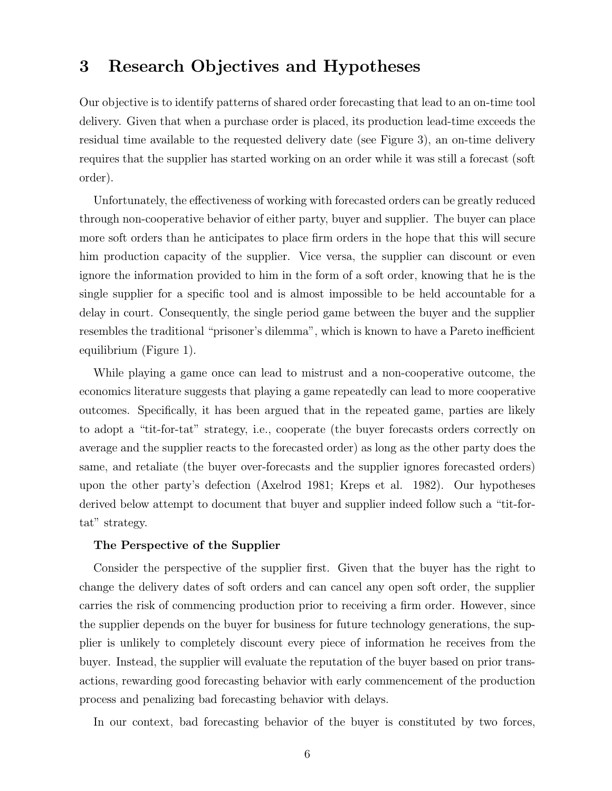## 3 Research Objectives and Hypotheses

Our objective is to identify patterns of shared order forecasting that lead to an on-time tool delivery. Given that when a purchase order is placed, its production lead-time exceeds the residual time available to the requested delivery date (see Figure 3), an on-time delivery requires that the supplier has started working on an order while it was still a forecast (soft order).

Unfortunately, the effectiveness of working with forecasted orders can be greatly reduced through non-cooperative behavior of either party, buyer and supplier. The buyer can place more soft orders than he anticipates to place firm orders in the hope that this will secure him production capacity of the supplier. Vice versa, the supplier can discount or even ignore the information provided to him in the form of a soft order, knowing that he is the single supplier for a specific tool and is almost impossible to be held accountable for a delay in court. Consequently, the single period game between the buyer and the supplier resembles the traditional "prisoner's dilemma", which is known to have a Pareto inefficient equilibrium (Figure 1).

While playing a game once can lead to mistrust and a non-cooperative outcome, the economics literature suggests that playing a game repeatedly can lead to more cooperative outcomes. Specifically, it has been argued that in the repeated game, parties are likely to adopt a "tit-for-tat" strategy, i.e., cooperate (the buyer forecasts orders correctly on average and the supplier reacts to the forecasted order) as long as the other party does the same, and retaliate (the buyer over-forecasts and the supplier ignores forecasted orders) upon the other party's defection (Axelrod 1981; Kreps et al. 1982). Our hypotheses derived below attempt to document that buyer and supplier indeed follow such a "tit-fortat" strategy.

#### The Perspective of the Supplier

Consider the perspective of the supplier first. Given that the buyer has the right to change the delivery dates of soft orders and can cancel any open soft order, the supplier carries the risk of commencing production prior to receiving a firm order. However, since the supplier depends on the buyer for business for future technology generations, the supplier is unlikely to completely discount every piece of information he receives from the buyer. Instead, the supplier will evaluate the reputation of the buyer based on prior transactions, rewarding good forecasting behavior with early commencement of the production process and penalizing bad forecasting behavior with delays.

In our context, bad forecasting behavior of the buyer is constituted by two forces,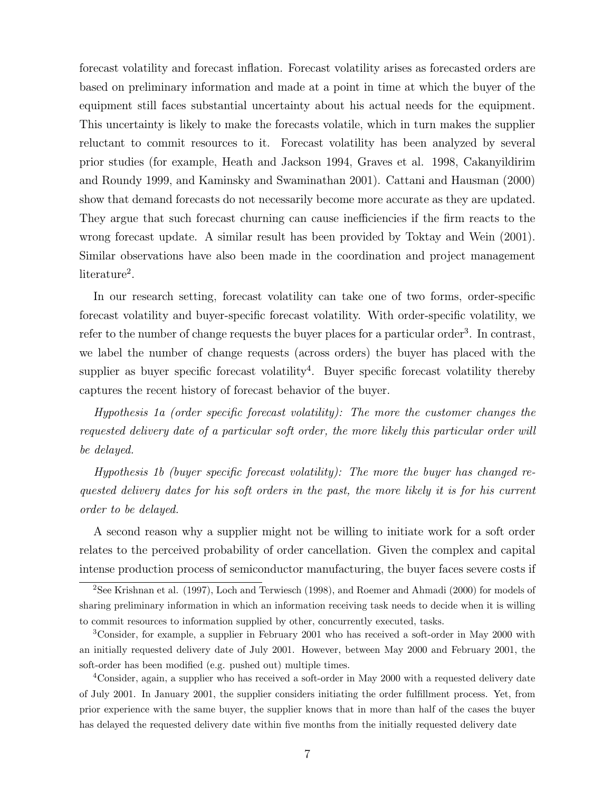forecast volatility and forecast inflation. Forecast volatility arises as forecasted orders are based on preliminary information and made at a point in time at which the buyer of the equipment still faces substantial uncertainty about his actual needs for the equipment. This uncertainty is likely to make the forecasts volatile, which in turn makes the supplier reluctant to commit resources to it. Forecast volatility has been analyzed by several prior studies (for example, Heath and Jackson 1994, Graves et al. 1998, Cakanyildirim and Roundy 1999, and Kaminsky and Swaminathan 2001). Cattani and Hausman (2000) show that demand forecasts do not necessarily become more accurate as they are updated. They argue that such forecast churning can cause inefficiencies if the firm reacts to the wrong forecast update. A similar result has been provided by Toktay and Wein (2001). Similar observations have also been made in the coordination and project management literature<sup>2</sup>.

In our research setting, forecast volatility can take one of two forms, order-specific forecast volatility and buyer-specific forecast volatility. With order-specific volatility, we refer to the number of change requests the buyer places for a particular order<sup>3</sup>. In contrast, we label the number of change requests (across orders) the buyer has placed with the supplier as buyer specific forecast volatility<sup>4</sup>. Buyer specific forecast volatility thereby captures the recent history of forecast behavior of the buyer.

Hypothesis 1a (order specific forecast volatility): The more the customer changes the requested delivery date of a particular soft order, the more likely this particular order will be delayed.

Hypothesis 1b (buyer specific forecast volatility): The more the buyer has changed requested delivery dates for his soft orders in the past, the more likely it is for his current order to be delayed.

A second reason why a supplier might not be willing to initiate work for a soft order relates to the perceived probability of order cancellation. Given the complex and capital intense production process of semiconductor manufacturing, the buyer faces severe costs if

<sup>4</sup>Consider, again, a supplier who has received a soft-order in May 2000 with a requested delivery date of July 2001. In January 2001, the supplier considers initiating the order fulfillment process. Yet, from prior experience with the same buyer, the supplier knows that in more than half of the cases the buyer has delayed the requested delivery date within five months from the initially requested delivery date

<sup>2</sup>See Krishnan et al. (1997), Loch and Terwiesch (1998), and Roemer and Ahmadi (2000) for models of sharing preliminary information in which an information receiving task needs to decide when it is willing to commit resources to information supplied by other, concurrently executed, tasks.

<sup>3</sup>Consider, for example, a supplier in February 2001 who has received a soft-order in May 2000 with an initially requested delivery date of July 2001. However, between May 2000 and February 2001, the soft-order has been modified (e.g. pushed out) multiple times.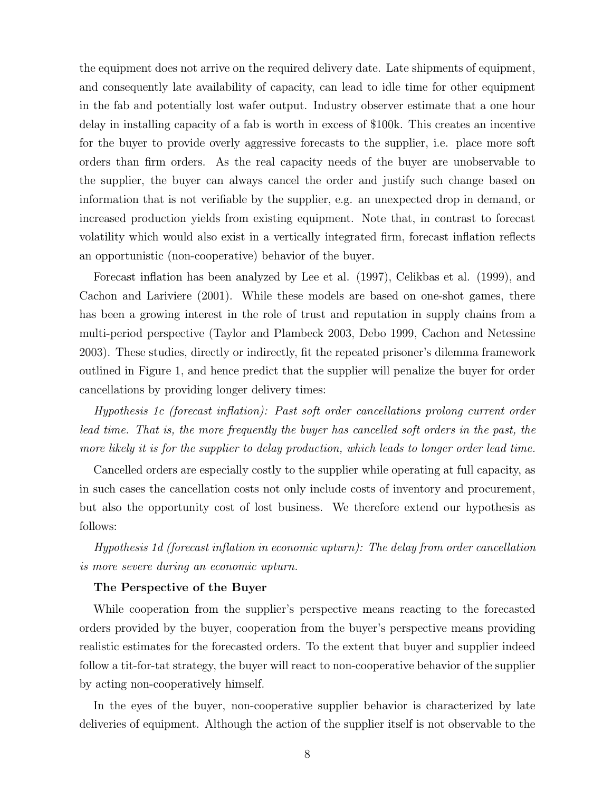the equipment does not arrive on the required delivery date. Late shipments of equipment, and consequently late availability of capacity, can lead to idle time for other equipment in the fab and potentially lost wafer output. Industry observer estimate that a one hour delay in installing capacity of a fab is worth in excess of \$100k. This creates an incentive for the buyer to provide overly aggressive forecasts to the supplier, i.e. place more soft orders than firm orders. As the real capacity needs of the buyer are unobservable to the supplier, the buyer can always cancel the order and justify such change based on information that is not verifiable by the supplier, e.g. an unexpected drop in demand, or increased production yields from existing equipment. Note that, in contrast to forecast volatility which would also exist in a vertically integrated firm, forecast inflation reflects an opportunistic (non-cooperative) behavior of the buyer.

Forecast inflation has been analyzed by Lee et al. (1997), Celikbas et al. (1999), and Cachon and Lariviere (2001). While these models are based on one-shot games, there has been a growing interest in the role of trust and reputation in supply chains from a multi-period perspective (Taylor and Plambeck 2003, Debo 1999, Cachon and Netessine 2003). These studies, directly or indirectly, fit the repeated prisoner's dilemma framework outlined in Figure 1, and hence predict that the supplier will penalize the buyer for order cancellations by providing longer delivery times:

Hypothesis 1c (forecast inflation): Past soft order cancellations prolong current order lead time. That is, the more frequently the buyer has cancelled soft orders in the past, the more likely it is for the supplier to delay production, which leads to longer order lead time.

Cancelled orders are especially costly to the supplier while operating at full capacity, as in such cases the cancellation costs not only include costs of inventory and procurement, but also the opportunity cost of lost business. We therefore extend our hypothesis as follows:

Hypothesis 1d (forecast inflation in economic upturn): The delay from order cancellation is more severe during an economic upturn.

#### The Perspective of the Buyer

While cooperation from the supplier's perspective means reacting to the forecasted orders provided by the buyer, cooperation from the buyer's perspective means providing realistic estimates for the forecasted orders. To the extent that buyer and supplier indeed follow a tit-for-tat strategy, the buyer will react to non-cooperative behavior of the supplier by acting non-cooperatively himself.

In the eyes of the buyer, non-cooperative supplier behavior is characterized by late deliveries of equipment. Although the action of the supplier itself is not observable to the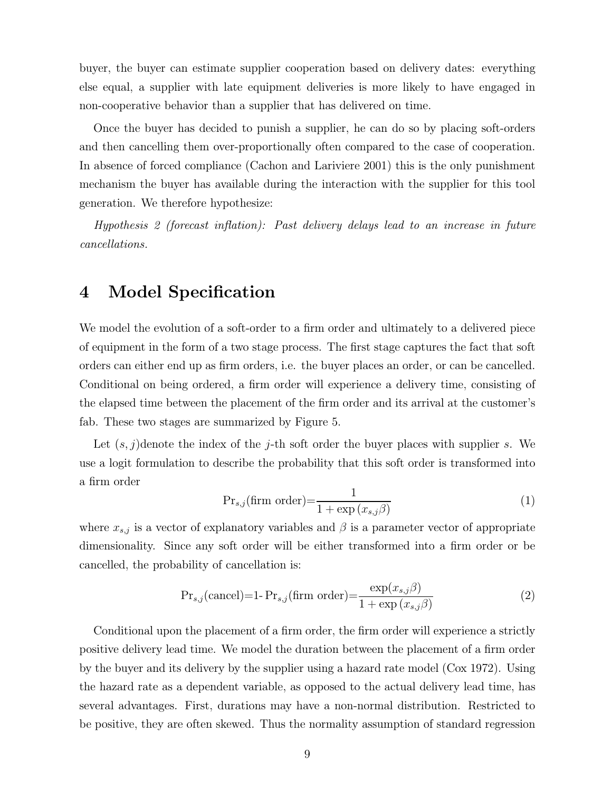buyer, the buyer can estimate supplier cooperation based on delivery dates: everything else equal, a supplier with late equipment deliveries is more likely to have engaged in non-cooperative behavior than a supplier that has delivered on time.

Once the buyer has decided to punish a supplier, he can do so by placing soft-orders and then cancelling them over-proportionally often compared to the case of cooperation. In absence of forced compliance (Cachon and Lariviere 2001) this is the only punishment mechanism the buyer has available during the interaction with the supplier for this tool generation. We therefore hypothesize:

Hypothesis 2 (forecast inflation): Past delivery delays lead to an increase in future cancellations.

### 4 Model Specification

We model the evolution of a soft-order to a firm order and ultimately to a delivered piece of equipment in the form of a two stage process. The first stage captures the fact that soft orders can either end up as firm orders, i.e. the buyer places an order, or can be cancelled. Conditional on being ordered, a firm order will experience a delivery time, consisting of the elapsed time between the placement of the firm order and its arrival at the customer's fab. These two stages are summarized by Figure 5.

Let  $(s, j)$  denote the index of the j-th soft order the buyer places with supplier s. We use a logit formulation to describe the probability that this soft order is transformed into a firm order

$$
Pr_{s,j}(\text{firm order}) = \frac{1}{1 + \exp(x_{s,j}\beta)}
$$
\n(1)

where  $x_{s,j}$  is a vector of explanatory variables and  $\beta$  is a parameter vector of appropriate dimensionality. Since any soft order will be either transformed into a firm order or be cancelled, the probability of cancellation is:

$$
Pr_{s,j}(\text{cancel})=1-Pr_{s,j}(\text{firm order})=\frac{\exp(x_{s,j}\beta)}{1+\exp(x_{s,j}\beta)}
$$
(2)

Conditional upon the placement of a firm order, the firm order will experience a strictly positive delivery lead time. We model the duration between the placement of a firm order by the buyer and its delivery by the supplier using a hazard rate model (Cox 1972). Using the hazard rate as a dependent variable, as opposed to the actual delivery lead time, has several advantages. First, durations may have a non-normal distribution. Restricted to be positive, they are often skewed. Thus the normality assumption of standard regression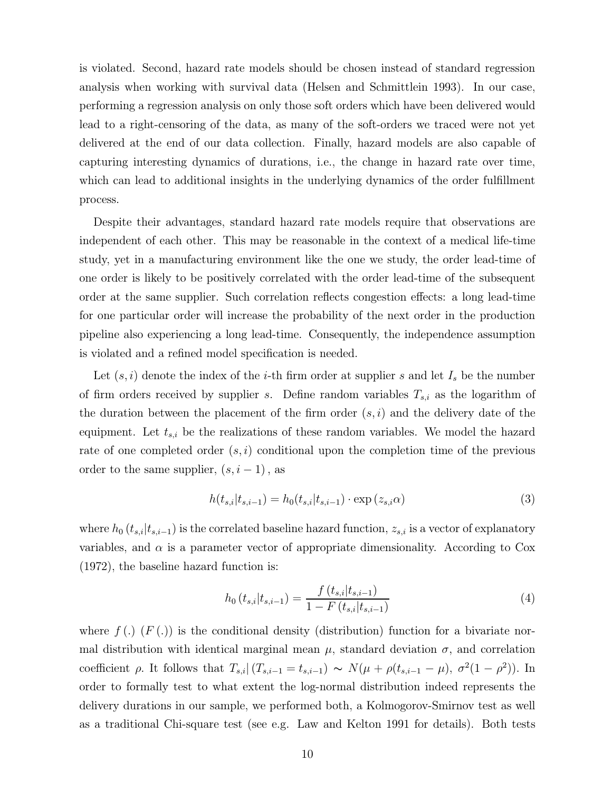is violated. Second, hazard rate models should be chosen instead of standard regression analysis when working with survival data (Helsen and Schmittlein 1993). In our case, performing a regression analysis on only those soft orders which have been delivered would lead to a right-censoring of the data, as many of the soft-orders we traced were not yet delivered at the end of our data collection. Finally, hazard models are also capable of capturing interesting dynamics of durations, i.e., the change in hazard rate over time, which can lead to additional insights in the underlying dynamics of the order fulfillment process.

Despite their advantages, standard hazard rate models require that observations are independent of each other. This may be reasonable in the context of a medical life-time study, yet in a manufacturing environment like the one we study, the order lead-time of one order is likely to be positively correlated with the order lead-time of the subsequent order at the same supplier. Such correlation reflects congestion effects: a long lead-time for one particular order will increase the probability of the next order in the production pipeline also experiencing a long lead-time. Consequently, the independence assumption is violated and a refined model specification is needed.

Let  $(s, i)$  denote the index of the *i*-th firm order at supplier s and let  $I_s$  be the number of firm orders received by supplier s. Define random variables  $T_{s,i}$  as the logarithm of the duration between the placement of the firm order  $(s, i)$  and the delivery date of the equipment. Let  $t_{s,i}$  be the realizations of these random variables. We model the hazard rate of one completed order  $(s, i)$  conditional upon the completion time of the previous order to the same supplier,  $(s, i - 1)$ , as

$$
h(t_{s,i}|t_{s,i-1}) = h_0(t_{s,i}|t_{s,i-1}) \cdot \exp(z_{s,i}\alpha)
$$
\n(3)

where  $h_0$  ( $t_{s,i}|t_{s,i-1}$ ) is the correlated baseline hazard function,  $z_{s,i}$  is a vector of explanatory variables, and  $\alpha$  is a parameter vector of appropriate dimensionality. According to Cox (1972), the baseline hazard function is:

$$
h_0(t_{s,i}|t_{s,i-1}) = \frac{f(t_{s,i}|t_{s,i-1})}{1 - F(t_{s,i}|t_{s,i-1})}
$$
\n(4)

where  $f(.)$  (F(.)) is the conditional density (distribution) function for a bivariate normal distribution with identical marginal mean  $\mu$ , standard deviation  $\sigma$ , and correlation coefficient  $\rho$ . It follows that  $T_{s,i}|(T_{s,i-1} = t_{s,i-1}) \sim N(\mu + \rho(t_{s,i-1} - \mu), \sigma^2(1 - \rho^2)).$  In order to formally test to what extent the log-normal distribution indeed represents the delivery durations in our sample, we performed both, a Kolmogorov-Smirnov test as well as a traditional Chi-square test (see e.g. Law and Kelton 1991 for details). Both tests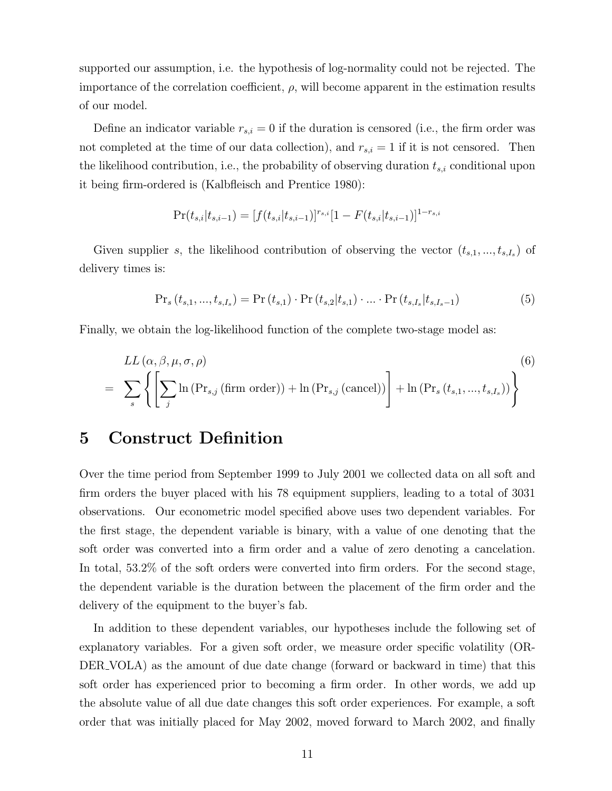supported our assumption, i.e. the hypothesis of log-normality could not be rejected. The importance of the correlation coefficient,  $\rho$ , will become apparent in the estimation results of our model.

Define an indicator variable  $r_{s,i} = 0$  if the duration is censored (i.e., the firm order was not completed at the time of our data collection), and  $r_{s,i} = 1$  if it is not censored. Then the likelihood contribution, i.e., the probability of observing duration  $t_{s,i}$  conditional upon it being firm-ordered is (Kalbfleisch and Prentice 1980):

$$
Pr(t_{s,i}|t_{s,i-1}) = [f(t_{s,i}|t_{s,i-1})]^{r_{s,i}}[1 - F(t_{s,i}|t_{s,i-1})]^{1 - r_{s,i}}
$$

Given supplier s, the likelihood contribution of observing the vector  $(t_{s,1},...,t_{s,I_s})$  of delivery times is:

$$
\Pr_s(t_{s,1},...,t_{s,I_s}) = \Pr(t_{s,1}) \cdot \Pr(t_{s,2}|t_{s,1}) \cdot ... \cdot \Pr(t_{s,I_s}|t_{s,I_s-1})
$$
(5)

Finally, we obtain the log-likelihood function of the complete two-stage model as:

$$
LL(\alpha, \beta, \mu, \sigma, \rho)
$$
\n
$$
= \sum_{s} \left\{ \left[ \sum_{j} \ln \left( \Pr_{s,j} \left( \text{firm order} \right) \right) + \ln \left( \Pr_{s,j} \left( \text{cancel} \right) \right) \right] + \ln \left( \Pr_{s} \left( t_{s,1}, \dots, t_{s,I_s} \right) \right) \right\}
$$
\n(6)

## 5 Construct Definition

Over the time period from September 1999 to July 2001 we collected data on all soft and firm orders the buyer placed with his 78 equipment suppliers, leading to a total of 3031 observations. Our econometric model specified above uses two dependent variables. For the first stage, the dependent variable is binary, with a value of one denoting that the soft order was converted into a firm order and a value of zero denoting a cancelation. In total, 53.2% of the soft orders were converted into firm orders. For the second stage, the dependent variable is the duration between the placement of the firm order and the delivery of the equipment to the buyer's fab.

In addition to these dependent variables, our hypotheses include the following set of explanatory variables. For a given soft order, we measure order specific volatility (OR-DER\_VOLA) as the amount of due date change (forward or backward in time) that this soft order has experienced prior to becoming a firm order. In other words, we add up the absolute value of all due date changes this soft order experiences. For example, a soft order that was initially placed for May 2002, moved forward to March 2002, and finally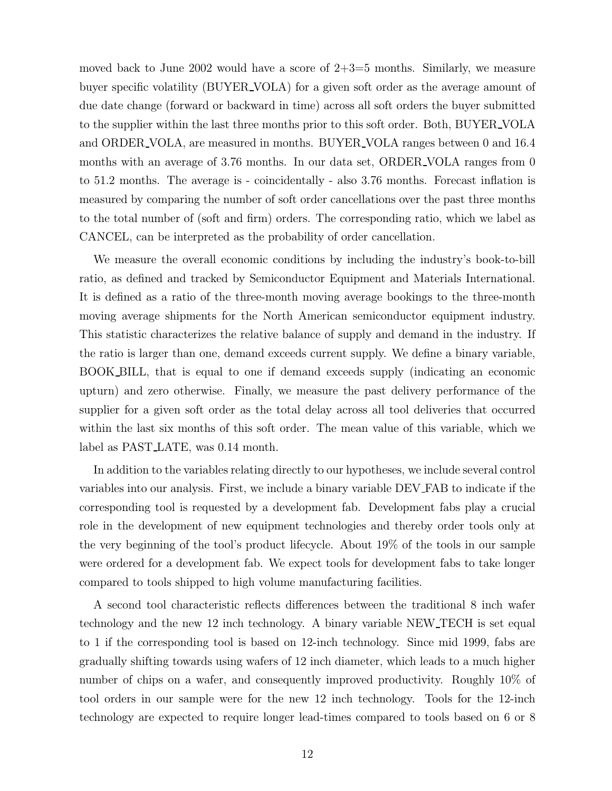moved back to June 2002 would have a score of  $2+3=5$  months. Similarly, we measure buyer specific volatility (BUYER VOLA) for a given soft order as the average amount of due date change (forward or backward in time) across all soft orders the buyer submitted to the supplier within the last three months prior to this soft order. Both, BUYER VOLA and ORDER VOLA, are measured in months. BUYER VOLA ranges between 0 and 16.4 months with an average of 3.76 months. In our data set, ORDER\_VOLA ranges from 0 to 51.2 months. The average is - coincidentally - also 3.76 months. Forecast inflation is measured by comparing the number of soft order cancellations over the past three months to the total number of (soft and firm) orders. The corresponding ratio, which we label as CANCEL, can be interpreted as the probability of order cancellation.

We measure the overall economic conditions by including the industry's book-to-bill ratio, as defined and tracked by Semiconductor Equipment and Materials International. It is defined as a ratio of the three-month moving average bookings to the three-month moving average shipments for the North American semiconductor equipment industry. This statistic characterizes the relative balance of supply and demand in the industry. If the ratio is larger than one, demand exceeds current supply. We define a binary variable, BOOK BILL, that is equal to one if demand exceeds supply (indicating an economic upturn) and zero otherwise. Finally, we measure the past delivery performance of the supplier for a given soft order as the total delay across all tool deliveries that occurred within the last six months of this soft order. The mean value of this variable, which we label as PAST<sub>LATE</sub>, was 0.14 month.

In addition to the variables relating directly to our hypotheses, we include several control variables into our analysis. First, we include a binary variable DEV FAB to indicate if the corresponding tool is requested by a development fab. Development fabs play a crucial role in the development of new equipment technologies and thereby order tools only at the very beginning of the tool's product lifecycle. About 19% of the tools in our sample were ordered for a development fab. We expect tools for development fabs to take longer compared to tools shipped to high volume manufacturing facilities.

A second tool characteristic reflects differences between the traditional 8 inch wafer technology and the new 12 inch technology. A binary variable NEW TECH is set equal to 1 if the corresponding tool is based on 12-inch technology. Since mid 1999, fabs are gradually shifting towards using wafers of 12 inch diameter, which leads to a much higher number of chips on a wafer, and consequently improved productivity. Roughly 10% of tool orders in our sample were for the new 12 inch technology. Tools for the 12-inch technology are expected to require longer lead-times compared to tools based on 6 or 8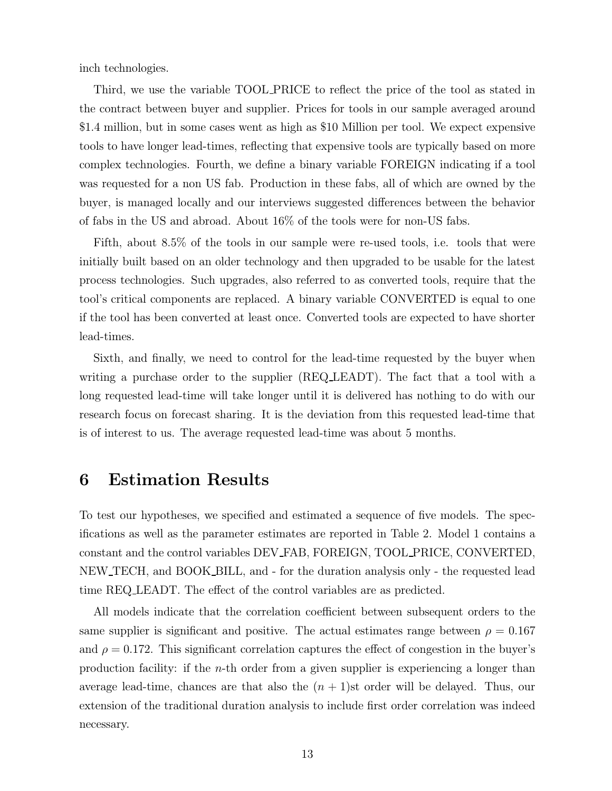inch technologies.

Third, we use the variable TOOL PRICE to reflect the price of the tool as stated in the contract between buyer and supplier. Prices for tools in our sample averaged around \$1.4 million, but in some cases went as high as \$10 Million per tool. We expect expensive tools to have longer lead-times, reflecting that expensive tools are typically based on more complex technologies. Fourth, we define a binary variable FOREIGN indicating if a tool was requested for a non US fab. Production in these fabs, all of which are owned by the buyer, is managed locally and our interviews suggested differences between the behavior of fabs in the US and abroad. About 16% of the tools were for non-US fabs.

Fifth, about 8.5% of the tools in our sample were re-used tools, i.e. tools that were initially built based on an older technology and then upgraded to be usable for the latest process technologies. Such upgrades, also referred to as converted tools, require that the tool's critical components are replaced. A binary variable CONVERTED is equal to one if the tool has been converted at least once. Converted tools are expected to have shorter lead-times.

Sixth, and finally, we need to control for the lead-time requested by the buyer when writing a purchase order to the supplier (REQ\_LEADT). The fact that a tool with a long requested lead-time will take longer until it is delivered has nothing to do with our research focus on forecast sharing. It is the deviation from this requested lead-time that is of interest to us. The average requested lead-time was about 5 months.

## 6 Estimation Results

To test our hypotheses, we specified and estimated a sequence of five models. The specifications as well as the parameter estimates are reported in Table 2. Model 1 contains a constant and the control variables DEV FAB, FOREIGN, TOOL PRICE, CONVERTED, NEW TECH, and BOOK BILL, and - for the duration analysis only - the requested lead time REQ LEADT. The effect of the control variables are as predicted.

All models indicate that the correlation coefficient between subsequent orders to the same supplier is significant and positive. The actual estimates range between  $\rho = 0.167$ and  $\rho = 0.172$ . This significant correlation captures the effect of congestion in the buyer's production facility: if the *n*-th order from a given supplier is experiencing a longer than average lead-time, chances are that also the  $(n + 1)$ st order will be delayed. Thus, our extension of the traditional duration analysis to include first order correlation was indeed necessary.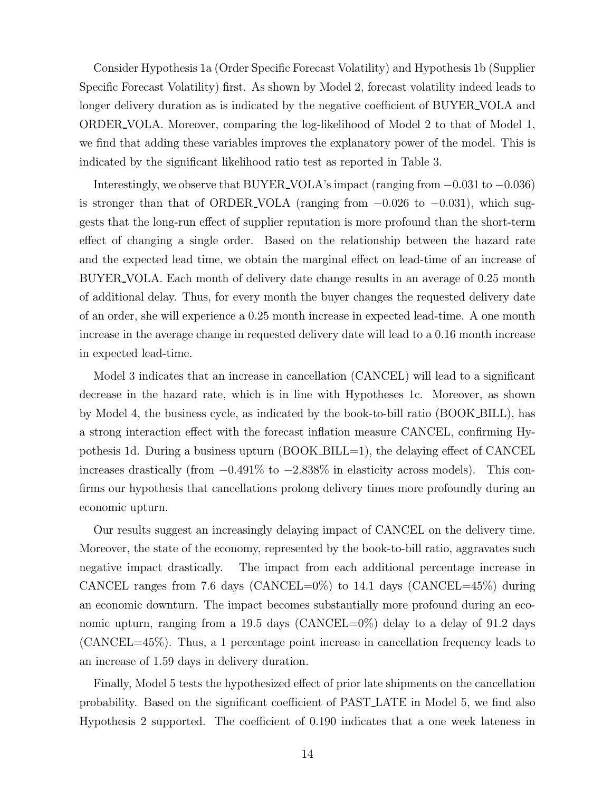Consider Hypothesis 1a (Order Specific Forecast Volatility) and Hypothesis 1b (Supplier Specific Forecast Volatility) first. As shown by Model 2, forecast volatility indeed leads to longer delivery duration as is indicated by the negative coefficient of BUYER\_VOLA and ORDER VOLA. Moreover, comparing the log-likelihood of Model 2 to that of Model 1, we find that adding these variables improves the explanatory power of the model. This is indicated by the significant likelihood ratio test as reported in Table 3.

Interestingly, we observe that BUYER\_VOLA's impact (ranging from  $-0.031$  to  $-0.036$ ) is stronger than that of ORDER\_VOLA (ranging from  $-0.026$  to  $-0.031$ ), which suggests that the long-run effect of supplier reputation is more profound than the short-term effect of changing a single order. Based on the relationship between the hazard rate and the expected lead time, we obtain the marginal effect on lead-time of an increase of BUYER VOLA. Each month of delivery date change results in an average of 0.25 month of additional delay. Thus, for every month the buyer changes the requested delivery date of an order, she will experience a 0.25 month increase in expected lead-time. A one month increase in the average change in requested delivery date will lead to a 0.16 month increase in expected lead-time.

Model 3 indicates that an increase in cancellation (CANCEL) will lead to a significant decrease in the hazard rate, which is in line with Hypotheses 1c. Moreover, as shown by Model 4, the business cycle, as indicated by the book-to-bill ratio (BOOK BILL), has a strong interaction effect with the forecast inflation measure CANCEL, confirming Hypothesis 1d. During a business upturn (BOOK BILL=1), the delaying effect of CANCEL increases drastically (from <sup>−</sup>0.491% to <sup>−</sup>2.838% in elasticity across models). This confirms our hypothesis that cancellations prolong delivery times more profoundly during an economic upturn.

Our results suggest an increasingly delaying impact of CANCEL on the delivery time. Moreover, the state of the economy, represented by the book-to-bill ratio, aggravates such negative impact drastically. The impact from each additional percentage increase in CANCEL ranges from 7.6 days (CANCEL=0%) to 14.1 days (CANCEL=45%) during an economic downturn. The impact becomes substantially more profound during an economic upturn, ranging from a 19.5 days (CANCEL=0%) delay to a delay of 91.2 days (CANCEL=45%). Thus, a 1 percentage point increase in cancellation frequency leads to an increase of 1.59 days in delivery duration.

Finally, Model 5 tests the hypothesized effect of prior late shipments on the cancellation probability. Based on the significant coefficient of PAST LATE in Model 5, we find also Hypothesis 2 supported. The coefficient of 0.190 indicates that a one week lateness in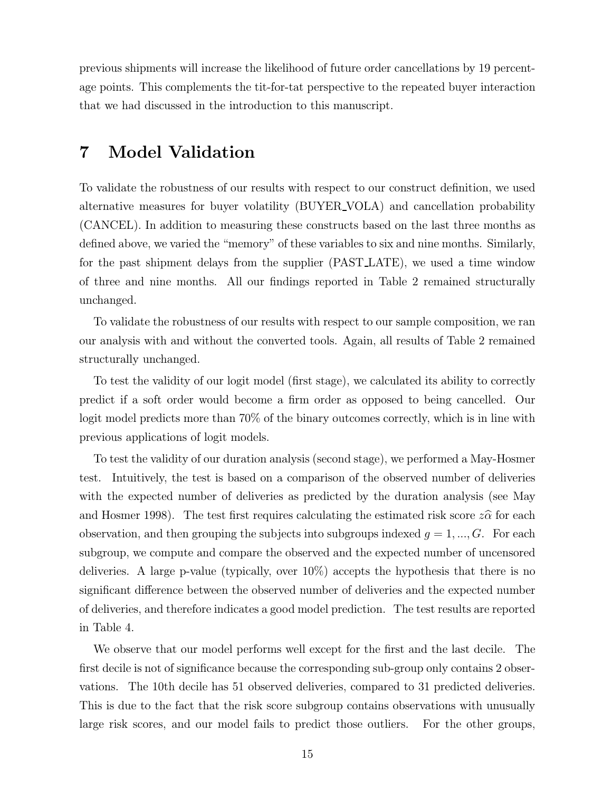previous shipments will increase the likelihood of future order cancellations by 19 percentage points. This complements the tit-for-tat perspective to the repeated buyer interaction that we had discussed in the introduction to this manuscript.

## 7 Model Validation

To validate the robustness of our results with respect to our construct definition, we used alternative measures for buyer volatility (BUYER VOLA) and cancellation probability (CANCEL). In addition to measuring these constructs based on the last three months as defined above, we varied the "memory" of these variables to six and nine months. Similarly, for the past shipment delays from the supplier (PAST LATE), we used a time window of three and nine months. All our findings reported in Table 2 remained structurally unchanged.

To validate the robustness of our results with respect to our sample composition, we ran our analysis with and without the converted tools. Again, all results of Table 2 remained structurally unchanged.

To test the validity of our logit model (first stage), we calculated its ability to correctly predict if a soft order would become a firm order as opposed to being cancelled. Our logit model predicts more than 70% of the binary outcomes correctly, which is in line with previous applications of logit models.

To test the validity of our duration analysis (second stage), we performed a May-Hosmer test. Intuitively, the test is based on a comparison of the observed number of deliveries with the expected number of deliveries as predicted by the duration analysis (see May and Hosmer 1998). The test first requires calculating the estimated risk score  $z\hat{\alpha}$  for each observation, and then grouping the subjects into subgroups indexed  $g = 1, ..., G$ . For each subgroup, we compute and compare the observed and the expected number of uncensored deliveries. A large p-value (typically, over 10%) accepts the hypothesis that there is no significant difference between the observed number of deliveries and the expected number of deliveries, and therefore indicates a good model prediction. The test results are reported in Table 4.

We observe that our model performs well except for the first and the last decile. The first decile is not of significance because the corresponding sub-group only contains 2 observations. The 10th decile has 51 observed deliveries, compared to 31 predicted deliveries. This is due to the fact that the risk score subgroup contains observations with unusually large risk scores, and our model fails to predict those outliers. For the other groups,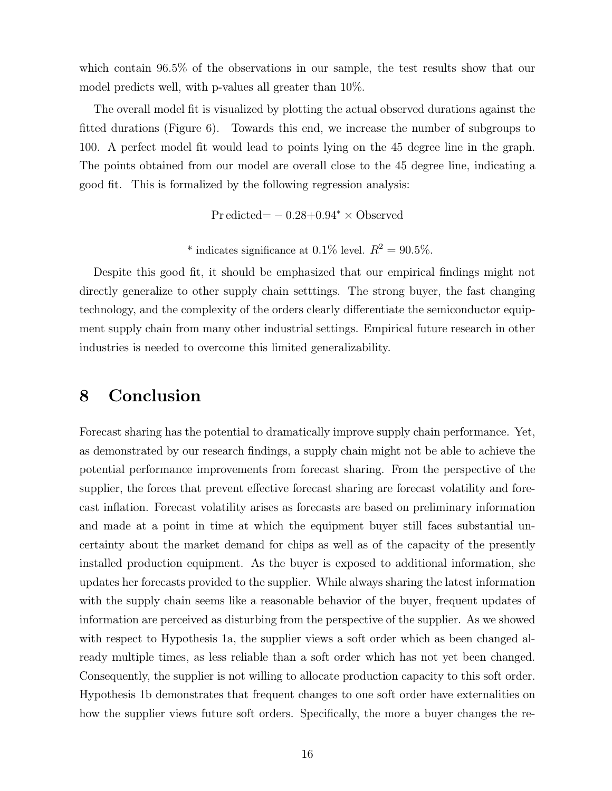which contain 96.5% of the observations in our sample, the test results show that our model predicts well, with p-values all greater than 10%.

The overall model fit is visualized by plotting the actual observed durations against the fitted durations (Figure 6). Towards this end, we increase the number of subgroups to 100. A perfect model fit would lead to points lying on the 45 degree line in the graph. The points obtained from our model are overall close to the 45 degree line, indicating a good fit. This is formalized by the following regression analysis:

Pr edicted=  $-0.28+0.94^* \times$  Observed

\* indicates significance at 0.1% level.  $R^2 = 90.5\%$ .

Despite this good fit, it should be emphasized that our empirical findings might not directly generalize to other supply chain setttings. The strong buyer, the fast changing technology, and the complexity of the orders clearly differentiate the semiconductor equipment supply chain from many other industrial settings. Empirical future research in other industries is needed to overcome this limited generalizability.

#### 8 Conclusion

Forecast sharing has the potential to dramatically improve supply chain performance. Yet, as demonstrated by our research findings, a supply chain might not be able to achieve the potential performance improvements from forecast sharing. From the perspective of the supplier, the forces that prevent effective forecast sharing are forecast volatility and forecast inflation. Forecast volatility arises as forecasts are based on preliminary information and made at a point in time at which the equipment buyer still faces substantial uncertainty about the market demand for chips as well as of the capacity of the presently installed production equipment. As the buyer is exposed to additional information, she updates her forecasts provided to the supplier. While always sharing the latest information with the supply chain seems like a reasonable behavior of the buyer, frequent updates of information are perceived as disturbing from the perspective of the supplier. As we showed with respect to Hypothesis 1a, the supplier views a soft order which as been changed already multiple times, as less reliable than a soft order which has not yet been changed. Consequently, the supplier is not willing to allocate production capacity to this soft order. Hypothesis 1b demonstrates that frequent changes to one soft order have externalities on how the supplier views future soft orders. Specifically, the more a buyer changes the re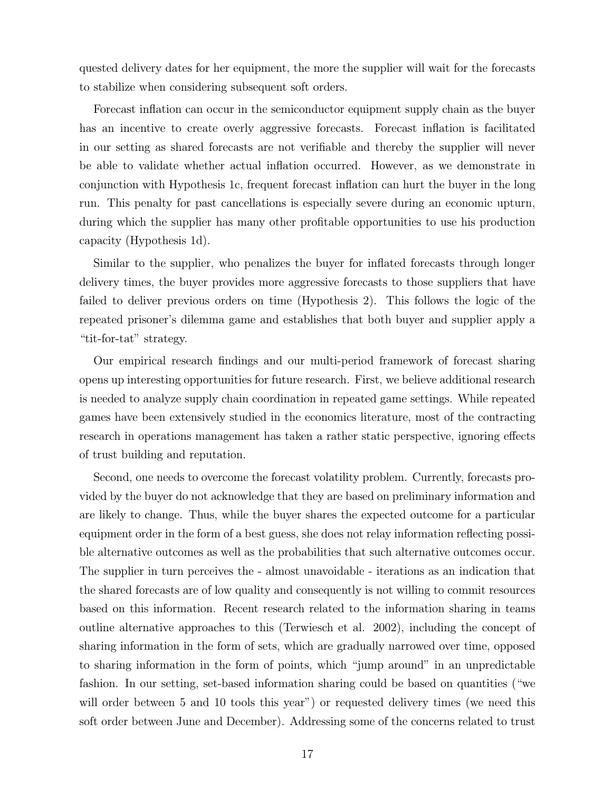quested delivery dates for her equipment, the more the supplier will wait for the forecasts to stabilize when considering subsequent soft orders.

Forecast inflation can occur in the semiconductor equipment supply chain as the buyer has an incentive to create overly aggressive forecasts. Forecast inflation is facilitated in our setting as shared forecasts are not verifiable and thereby the supplier will never be able to validate whether actual inflation occurred. However, as we demonstrate in conjunction with Hypothesis 1c, frequent forecast inflation can hurt the buyer in the long run. This penalty for past cancellations is especially severe during an economic upturn, during which the supplier has many other profitable opportunities to use his production capacity (Hypothesis 1d).

Similar to the supplier, who penalizes the buyer for inflated forecasts through longer delivery times, the buyer provides more aggressive forecasts to those suppliers that have failed to deliver previous orders on time (Hypothesis 2). This follows the logic of the repeated prisoner's dilemma game and establishes that both buyer and supplier apply a "tit-for-tat" strategy.

Our empirical research findings and our multi-period framework of forecast sharing opens up interesting opportunities for future research. First, we believe additional research is needed to analyze supply chain coordination in repeated game settings. While repeated games have been extensively studied in the economics literature, most of the contracting research in operations management has taken a rather static perspective, ignoring effects of trust building and reputation.

Second, one needs to overcome the forecast volatility problem. Currently, forecasts provided by the buyer do not acknowledge that they are based on preliminary information and are likely to change. Thus, while the buyer shares the expected outcome for a particular equipment order in the form of a best guess, she does not relay information reflecting possible alternative outcomes as well as the probabilities that such alternative outcomes occur. The supplier in turn perceives the - almost unavoidable - iterations as an indication that the shared forecasts are of low quality and consequently is not willing to commit resources based on this information. Recent research related to the information sharing in teams outline alternative approaches to this (Terwiesch et al. 2002), including the concept of sharing information in the form of sets, which are gradually narrowed over time, opposed to sharing information in the form of points, which "jump around" in an unpredictable fashion. In our setting, set-based information sharing could be based on quantities ("we will order between 5 and 10 tools this year") or requested delivery times (we need this soft order between June and December). Addressing some of the concerns related to trust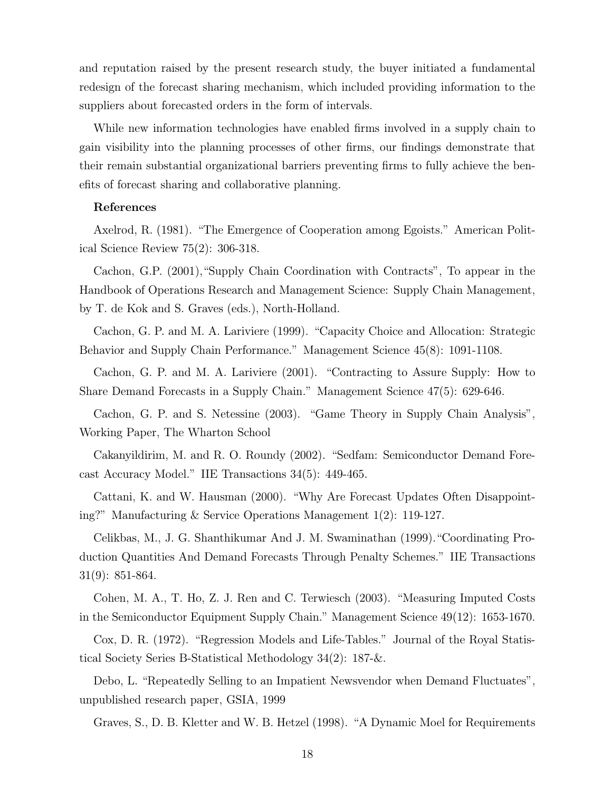and reputation raised by the present research study, the buyer initiated a fundamental redesign of the forecast sharing mechanism, which included providing information to the suppliers about forecasted orders in the form of intervals.

While new information technologies have enabled firms involved in a supply chain to gain visibility into the planning processes of other firms, our findings demonstrate that their remain substantial organizational barriers preventing firms to fully achieve the benefits of forecast sharing and collaborative planning.

#### References

Axelrod, R. (1981). "The Emergence of Cooperation among Egoists." American Political Science Review 75(2): 306-318.

Cachon, G.P. (2001),"Supply Chain Coordination with Contracts", To appear in the Handbook of Operations Research and Management Science: Supply Chain Management, by T. de Kok and S. Graves (eds.), North-Holland.

Cachon, G. P. and M. A. Lariviere (1999). "Capacity Choice and Allocation: Strategic Behavior and Supply Chain Performance." Management Science 45(8): 1091-1108.

Cachon, G. P. and M. A. Lariviere (2001). "Contracting to Assure Supply: How to Share Demand Forecasts in a Supply Chain." Management Science 47(5): 629-646.

Cachon, G. P. and S. Netessine (2003). "Game Theory in Supply Chain Analysis", Working Paper, The Wharton School

Cakanyildirim, M. and R. O. Roundy (2002). "Sedfam: Semiconductor Demand Forecast Accuracy Model." IIE Transactions 34(5): 449-465.

Cattani, K. and W. Hausman (2000). "Why Are Forecast Updates Often Disappointing?" Manufacturing & Service Operations Management 1(2): 119-127.

Celikbas, M., J. G. Shanthikumar And J. M. Swaminathan (1999)."Coordinating Production Quantities And Demand Forecasts Through Penalty Schemes." IIE Transactions 31(9): 851-864.

Cohen, M. A., T. Ho, Z. J. Ren and C. Terwiesch (2003). "Measuring Imputed Costs in the Semiconductor Equipment Supply Chain." Management Science 49(12): 1653-1670.

Cox, D. R. (1972). "Regression Models and Life-Tables." Journal of the Royal Statistical Society Series B-Statistical Methodology 34(2): 187-&.

Debo, L. "Repeatedly Selling to an Impatient Newsvendor when Demand Fluctuates", unpublished research paper, GSIA, 1999

Graves, S., D. B. Kletter and W. B. Hetzel (1998). "A Dynamic Moel for Requirements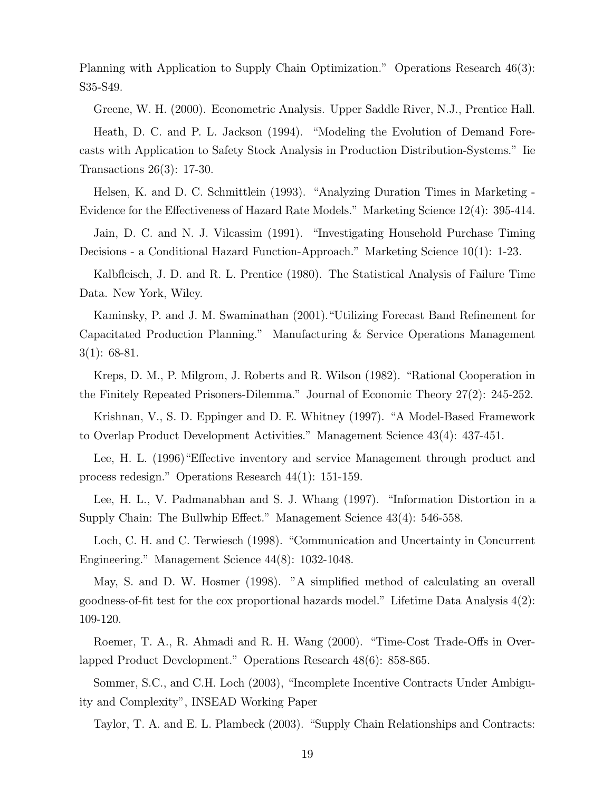Planning with Application to Supply Chain Optimization." Operations Research 46(3): S35-S49.

Greene, W. H. (2000). Econometric Analysis. Upper Saddle River, N.J., Prentice Hall. Heath, D. C. and P. L. Jackson (1994). "Modeling the Evolution of Demand Forecasts with Application to Safety Stock Analysis in Production Distribution-Systems." Iie Transactions 26(3): 17-30.

Helsen, K. and D. C. Schmittlein (1993). "Analyzing Duration Times in Marketing - Evidence for the Effectiveness of Hazard Rate Models." Marketing Science 12(4): 395-414.

Jain, D. C. and N. J. Vilcassim (1991). "Investigating Household Purchase Timing Decisions - a Conditional Hazard Function-Approach." Marketing Science 10(1): 1-23.

Kalbfleisch, J. D. and R. L. Prentice (1980). The Statistical Analysis of Failure Time Data. New York, Wiley.

Kaminsky, P. and J. M. Swaminathan (2001)."Utilizing Forecast Band Refinement for Capacitated Production Planning." Manufacturing & Service Operations Management 3(1): 68-81.

Kreps, D. M., P. Milgrom, J. Roberts and R. Wilson (1982). "Rational Cooperation in the Finitely Repeated Prisoners-Dilemma." Journal of Economic Theory 27(2): 245-252.

Krishnan, V., S. D. Eppinger and D. E. Whitney (1997). "A Model-Based Framework to Overlap Product Development Activities." Management Science 43(4): 437-451.

Lee, H. L. (1996)"Effective inventory and service Management through product and process redesign." Operations Research 44(1): 151-159.

Lee, H. L., V. Padmanabhan and S. J. Whang (1997). "Information Distortion in a Supply Chain: The Bullwhip Effect." Management Science 43(4): 546-558.

Loch, C. H. and C. Terwiesch (1998). "Communication and Uncertainty in Concurrent Engineering." Management Science 44(8): 1032-1048.

May, S. and D. W. Hosmer (1998). "A simplified method of calculating an overall goodness-of-fit test for the cox proportional hazards model." Lifetime Data Analysis 4(2): 109-120.

Roemer, T. A., R. Ahmadi and R. H. Wang (2000). "Time-Cost Trade-Offs in Overlapped Product Development." Operations Research 48(6): 858-865.

Sommer, S.C., and C.H. Loch (2003), "Incomplete Incentive Contracts Under Ambiguity and Complexity", INSEAD Working Paper

Taylor, T. A. and E. L. Plambeck (2003). "Supply Chain Relationships and Contracts: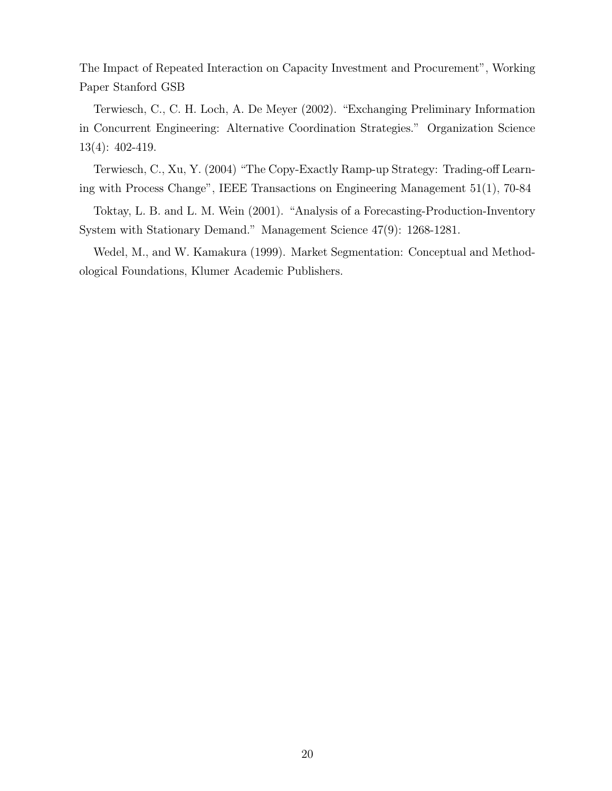The Impact of Repeated Interaction on Capacity Investment and Procurement", Working Paper Stanford GSB

Terwiesch, C., C. H. Loch, A. De Meyer (2002). "Exchanging Preliminary Information in Concurrent Engineering: Alternative Coordination Strategies." Organization Science 13(4): 402-419.

Terwiesch, C., Xu, Y. (2004) "The Copy-Exactly Ramp-up Strategy: Trading-off Learning with Process Change", IEEE Transactions on Engineering Management 51(1), 70-84

Toktay, L. B. and L. M. Wein (2001). "Analysis of a Forecasting-Production-Inventory System with Stationary Demand." Management Science 47(9): 1268-1281.

Wedel, M., and W. Kamakura (1999). Market Segmentation: Conceptual and Methodological Foundations, Klumer Academic Publishers.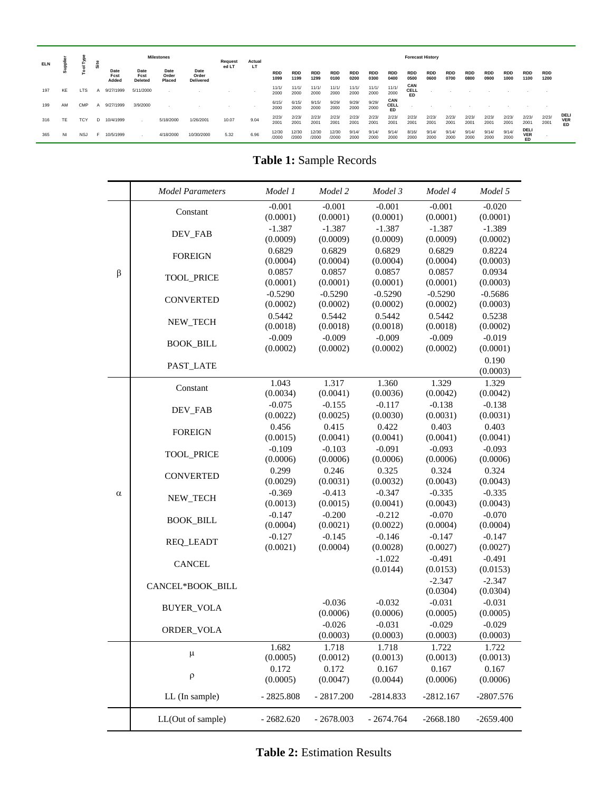| <b>ELN</b> | ᇹ         |            | <b>Site</b> |                       | <b>Milestones</b>              |                         | Request                           | Actual | <b>Forecast History</b> |                    |                    |                    |                    |                    |                    |                    |                          |                    |                    |                    |                    |                    |                          |                    |                          |
|------------|-----------|------------|-------------|-----------------------|--------------------------------|-------------------------|-----------------------------------|--------|-------------------------|--------------------|--------------------|--------------------|--------------------|--------------------|--------------------|--------------------|--------------------------|--------------------|--------------------|--------------------|--------------------|--------------------|--------------------------|--------------------|--------------------------|
|            |           |            |             | Date<br>Fcst<br>Added | Date<br>Fcst<br><b>Deleted</b> | Date<br>Order<br>Placed | Date<br>Order<br><b>Delivered</b> | ed LT  | LT                      | <b>RDD</b><br>1099 | <b>RDD</b><br>1199 | <b>RDD</b><br>1299 | <b>RDD</b><br>0100 | <b>RDD</b><br>0200 | <b>RDD</b><br>0300 | <b>RDD</b><br>0400 | <b>RDD</b><br>0500       | <b>RDD</b><br>0600 | <b>RDD</b><br>0700 | <b>RDD</b><br>0800 | <b>RDD</b><br>0900 | <b>RDD</b><br>1000 | <b>RDD</b><br>1100       | <b>RDD</b><br>1200 |                          |
| 197        | KE        | <b>LTS</b> | A           | 9/27/1999             | 5/11/2000                      |                         |                                   |        |                         | 11/1/<br>2000      | 11/1/<br>2000      | 11/1/<br>2000      | 11/1/<br>2000      | 11/1/<br>2000      | 11/1/<br>2000      | 11/1/<br>2000      | CAN<br>CELL<br><b>ED</b> |                    |                    |                    |                    |                    |                          |                    |                          |
| 199        | AM        | <b>CMP</b> |             | 9/27/1999             | 3/9/2000                       |                         |                                   |        |                         | 6/15/<br>2000      | 6/15<br>2000       | 9/15/<br>2000      | 9/29<br>2000       | 9/29/<br>2000      | 9/29/<br>2000      | CAN<br>CELL<br>ED  |                          |                    |                    |                    |                    |                    |                          |                    |                          |
| 316        | <b>TE</b> | <b>TCY</b> | D.          | 10/4/1999             |                                | 5/18/2000               | 1/26/2001                         | 10.07  | 9.04                    | 2/23/<br>2001      | 2/23/<br>2001      | 2/23/<br>2001      | 2/23/<br>2001      | 2/23/<br>2001      | 2/23/<br>2001      | 2/23/<br>2001      | 2/23/<br>2001            | 2/23<br>2001       | 2/23/<br>2001      | 2/23/<br>2001      | 2/23/<br>2001      | 2/23/<br>2001      | 2/23/<br>2001            | 2/23/<br>2001      | DELI<br><b>VER</b><br>ED |
| 365        | NI        | <b>NSJ</b> |             | 10/5/1999             |                                | 4/18/2000               | 10/30/2000                        | 5.32   | 6.96                    | 12/30<br>/2000     | 12/30<br>/2000     | 12/30<br>/2000     | 12/30<br>/2000     | 9/14/<br>2000      | 9/14/<br>2000      | 9/14/<br>2000      | 8/16/<br>2000            | 9/14/<br>2000      | 9/14/<br>2000      | 9/14<br>2000       | 9/14/<br>2000      | 9/14/<br>2000      | DELI<br><b>VER</b><br>ED |                    |                          |

**Table 1:** Sample Records

|          | <b>Model Parameters</b> | Model 1               | Model 2               | Model 3               | Model 4               | Model 5               |
|----------|-------------------------|-----------------------|-----------------------|-----------------------|-----------------------|-----------------------|
|          | Constant                | $-0.001$<br>(0.0001)  | $-0.001$<br>(0.0001)  | $-0.001$<br>(0.0001)  | $-0.001$<br>(0.0001)  | $-0.020$<br>(0.0001)  |
|          |                         | $-1.387$              | $-1.387$              | $-1.387$              | $-1.387$              | $-1.389$              |
|          | DEV_FAB                 | (0.0009)              | (0.0009)              | (0.0009)              | (0.0009)              | (0.0002)              |
|          | <b>FOREIGN</b>          | 0.6829                | 0.6829                | 0.6829                | 0.6829                | 0.8224                |
|          |                         | (0.0004)              | (0.0004)              | (0.0004)              | (0.0004)              | (0.0003)              |
| $\beta$  | <b>TOOL_PRICE</b>       | 0.0857                | 0.0857                | 0.0857                | 0.0857                | 0.0934                |
|          |                         | (0.0001)<br>$-0.5290$ | (0.0001)<br>$-0.5290$ | (0.0001)<br>$-0.5290$ | (0.0001)<br>$-0.5290$ | (0.0003)<br>$-0.5686$ |
|          | <b>CONVERTED</b>        | (0.0002)              | (0.0002)              | (0.0002)              | (0.0002)              | (0.0003)              |
|          |                         | 0.5442                | 0.5442                | 0.5442                | 0.5442                | 0.5238                |
|          | <b>NEW TECH</b>         | (0.0018)              | (0.0018)              | (0.0018)              | (0.0018)              | (0.0002)              |
|          |                         | $-0.009$              | $-0.009$              | $-0.009$              | $-0.009$              | $-0.019$              |
|          | <b>BOOK_BILL</b>        | (0.0002)              | (0.0002)              | (0.0002)              | (0.0002)              | (0.0001)              |
|          | PAST_LATE               |                       |                       |                       |                       | 0.190                 |
|          |                         |                       |                       |                       |                       | (0.0003)              |
|          | Constant                | 1.043<br>(0.0034)     | 1.317<br>(0.0041)     | 1.360<br>(0.0036)     | 1.329<br>(0.0042)     | 1.329<br>(0.0042)     |
|          |                         | $-0.075$              | $-0.155$              | $-0.117$              | $-0.138$              | $-0.138$              |
|          | DEV_FAB                 | (0.0022)              | (0.0025)              | (0.0030)              | (0.0031)              | (0.0031)              |
|          |                         | 0.456                 | 0.415                 | 0.422                 | 0.403                 | 0.403                 |
|          | <b>FOREIGN</b>          | (0.0015)              | (0.0041)              | (0.0041)              | (0.0041)              | (0.0041)              |
|          | <b>TOOL PRICE</b>       | $-0.109$              | $-0.103$              | $-0.091$              | $-0.093$              | $-0.093$              |
|          |                         | (0.0006)              | (0.0006)              | (0.0006)              | (0.0006)              | (0.0006)              |
|          | <b>CONVERTED</b>        | 0.299                 | 0.246                 | 0.325                 | 0.324                 | 0.324                 |
|          |                         | (0.0029)              | (0.0031)              | (0.0032)              | (0.0043)              | (0.0043)              |
| $\alpha$ | NEW_TECH                | $-0.369$<br>(0.0013)  | $-0.413$<br>(0.0015)  | $-0.347$<br>(0.0041)  | $-0.335$<br>(0.0043)  | $-0.335$<br>(0.0043)  |
|          |                         | $-0.147$              | $-0.200$              | $-0.212$              | $-0.070$              | $-0.070$              |
|          | <b>BOOK_BILL</b>        | (0.0004)              | (0.0021)              | (0.0022)              | (0.0004)              | (0.0004)              |
|          |                         | $-0.127$              | $-0.145$              | $-0.146$              | $-0.147$              | $-0.147$              |
|          | <b>REQ_LEADT</b>        | (0.0021)              | (0.0004)              | (0.0028)              | (0.0027)              | (0.0027)              |
|          | <b>CANCEL</b>           |                       |                       | $-1.022$              | $-0.491$              | $-0.491$              |
|          |                         |                       |                       | (0.0144)              | (0.0153)              | (0.0153)              |
|          | CANCEL*BOOK_BILL        |                       |                       |                       | $-2.347$              | $-2.347$              |
|          |                         |                       |                       |                       | (0.0304)              | (0.0304)              |
|          | <b>BUYER_VOLA</b>       |                       | $-0.036$<br>(0.0006)  | $-0.032$<br>(0.0006)  | $-0.031$<br>(0.0005)  | $-0.031$<br>(0.0005)  |
|          |                         |                       | $-0.026$              | $-0.031$              | $-0.029$              | $-0.029$              |
|          | ORDER_VOLA              |                       | (0.0003)              | (0.0003)              | (0.0003)              | (0.0003)              |
|          |                         | 1.682                 | 1.718                 | 1.718                 | 1.722                 | 1.722                 |
|          | μ                       | (0.0005)              | (0.0012)              | (0.0013)              | (0.0013)              | (0.0013)              |
|          | ρ                       | 0.172                 | 0.172                 | 0.167                 | 0.167                 | 0.167                 |
|          |                         | (0.0005)              | (0.0047)              | (0.0044)              | (0.0006)              | (0.0006)              |
|          | LL (In sample)          | $-2825.808$           | $-2817.200$           | -2814.833             | $-2812.167$           | $-2807.576$           |
|          | LL(Out of sample)       | $-2682.620$           | $-2678.003$           | $-2674.764$           | $-2668.180$           | $-2659.400$           |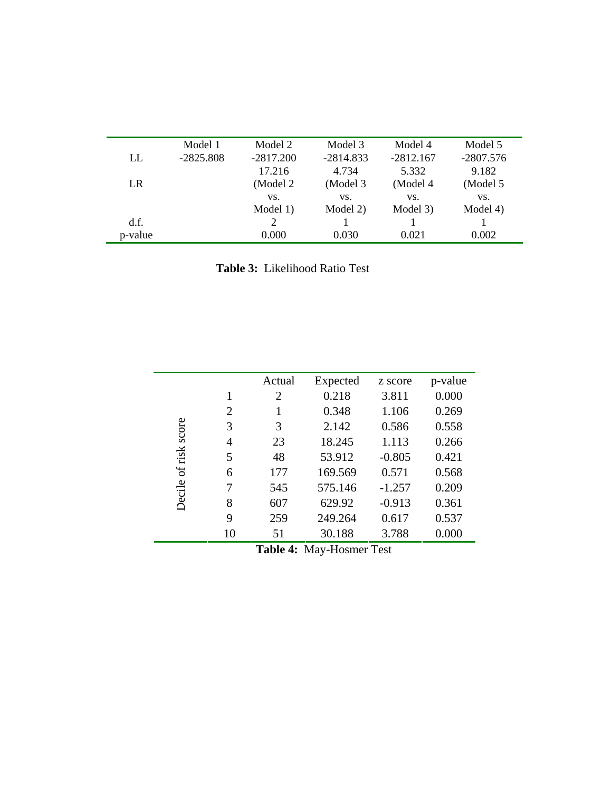|         | Model 1     | Model 2     | Model 3     | Model 4     | Model 5     |
|---------|-------------|-------------|-------------|-------------|-------------|
| LL      | $-2825.808$ | $-2817.200$ | $-2814.833$ | $-2812.167$ | $-2807.576$ |
|         |             | 17.216      | 4.734       | 5.332       | 9.182       |
| LR.     |             | (Model 2)   | (Model 3)   | (Model 4    | (Model 5    |
|         |             | VS.         | VS.         | VS.         | VS.         |
|         |             | Model 1)    | Model 2)    | Model 3)    | Model 4)    |
| d.f.    |             | 2           |             |             |             |
| p-value |             | 0.000       | 0.030       | 0.021       | 0.002       |

**Table 3:** Likelihood Ratio Test

|         |                | Actual | Expected | z score  | p-value |
|---------|----------------|--------|----------|----------|---------|
|         | 1              | 2      | 0.218    | 3.811    | 0.000   |
|         | $\overline{2}$ |        | 0.348    | 1.106    | 0.269   |
| score   | 3              | 3      | 2.142    | 0.586    | 0.558   |
|         | 4              | 23     | 18.245   | 1.113    | 0.266   |
| of risk | 5              | 48     | 53.912   | $-0.805$ | 0.421   |
|         | 6              | 177    | 169.569  | 0.571    | 0.568   |
| Decile  | 7              | 545    | 575.146  | $-1.257$ | 0.209   |
|         | 8              | 607    | 629.92   | $-0.913$ | 0.361   |
|         | 9              | 259    | 249.264  | 0.617    | 0.537   |
|         | 10             | 51     | 30.188   | 3.788    | 0.000   |

**Table 4:** May-Hosmer Test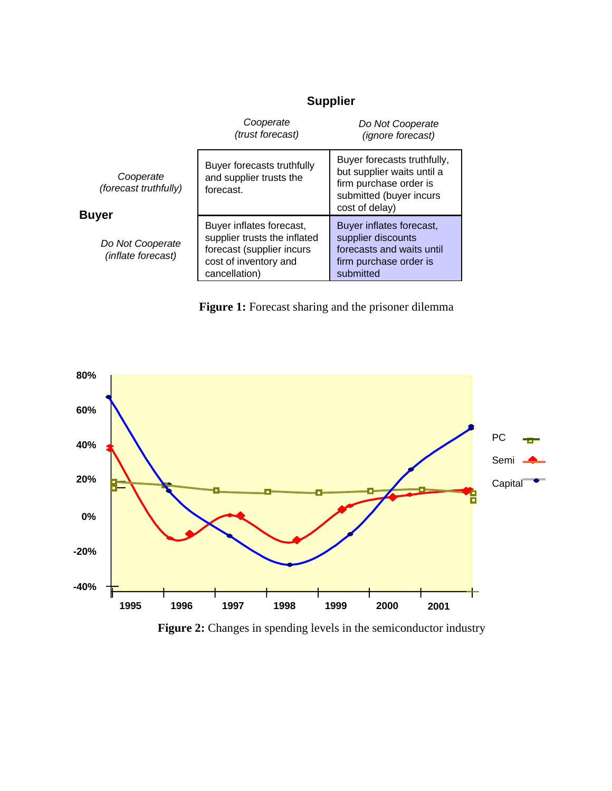## **Supplier**

|                                                 | Cooperate<br>(trust forecast)                                                                                                   | Do Not Cooperate<br>(ignore forecast)                                                                                            |
|-------------------------------------------------|---------------------------------------------------------------------------------------------------------------------------------|----------------------------------------------------------------------------------------------------------------------------------|
| Cooperate<br>(forecast truthfully)              | Buyer forecasts truthfully<br>and supplier trusts the<br>forecast.                                                              | Buyer forecasts truthfully,<br>but supplier waits until a<br>firm purchase order is<br>submitted (buyer incurs<br>cost of delay) |
| Buyer<br>Do Not Cooperate<br>(inflate forecast) | Buyer inflates forecast,<br>supplier trusts the inflated<br>forecast (supplier incurs<br>cost of inventory and<br>cancellation) | Buyer inflates forecast,<br>supplier discounts<br>forecasts and waits until<br>firm purchase order is<br>submitted               |

Figure 1: Forecast sharing and the prisoner dilemma



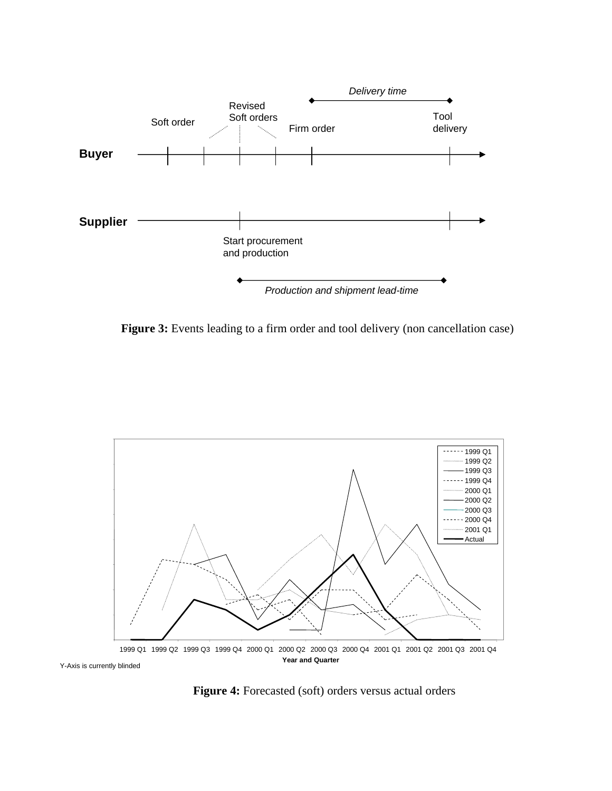

Figure 3: Events leading to a firm order and tool delivery (non cancellation case)



**Figure 4:** Forecasted (soft) orders versus actual orders